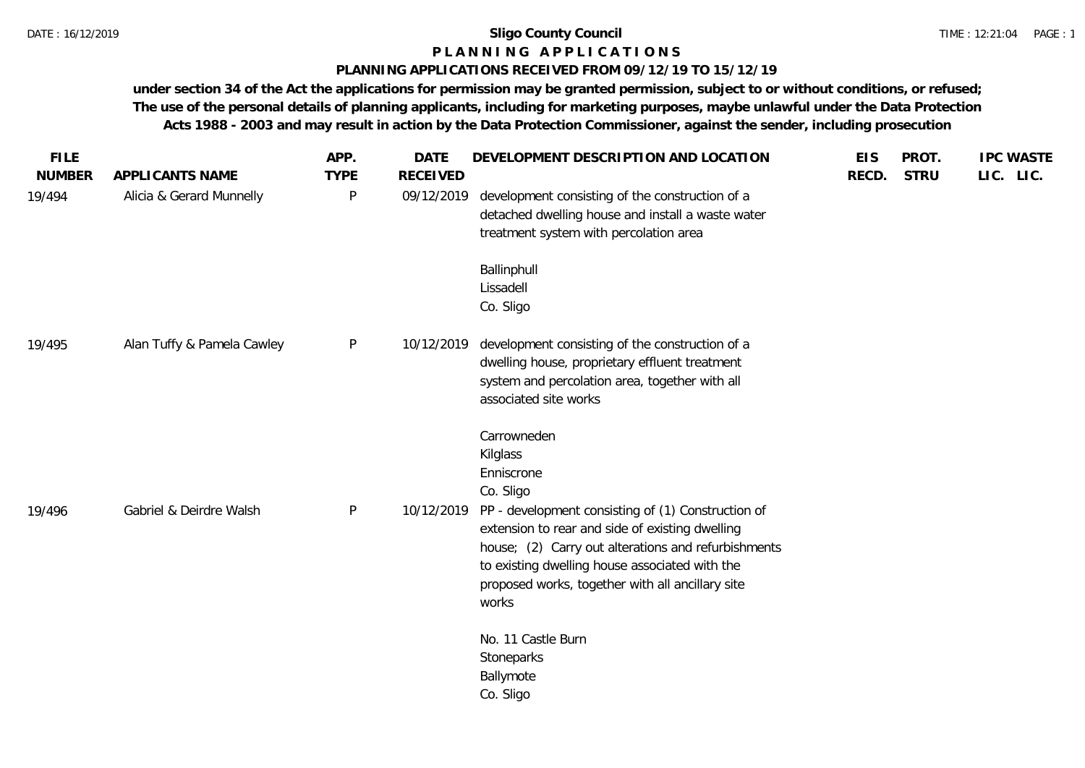# **P L A N N I N G A P P L I C A T I O N S**

### **PLANNING APPLICATIONS RECEIVED FROM 09/12/19 TO 15/12/19**

**under section 34 of the Act the applications for permission may be granted permission, subject to or without conditions, or refused; The use of the personal details of planning applicants, including for marketing purposes, maybe unlawful under the Data Protection Acts 1988 - 2003 and may result in action by the Data Protection Commissioner, against the sender, including prosecution**

| <b>FILE</b><br><b>NUMBER</b> | APPLICANTS NAME            | APP.<br><b>TYPE</b> | <b>DATE</b><br><b>RECEIVED</b> | DEVELOPMENT DESCRIPTION AND LOCATION                                                                                                                                                                                                                                 | <b>EIS</b><br>RECD. | PROT.<br><b>STRU</b> | <b>IPC WASTE</b><br>LIC. LIC. |
|------------------------------|----------------------------|---------------------|--------------------------------|----------------------------------------------------------------------------------------------------------------------------------------------------------------------------------------------------------------------------------------------------------------------|---------------------|----------------------|-------------------------------|
| 19/494                       | Alicia & Gerard Munnelly   | P                   | 09/12/2019                     | development consisting of the construction of a<br>detached dwelling house and install a waste water<br>treatment system with percolation area                                                                                                                       |                     |                      |                               |
|                              |                            |                     |                                | Ballinphull<br>Lissadell<br>Co. Sligo                                                                                                                                                                                                                                |                     |                      |                               |
| 19/495                       | Alan Tuffy & Pamela Cawley | P                   | 10/12/2019                     | development consisting of the construction of a<br>dwelling house, proprietary effluent treatment<br>system and percolation area, together with all<br>associated site works                                                                                         |                     |                      |                               |
| 19/496                       | Gabriel & Deirdre Walsh    | P                   | 10/12/2019                     | Carrowneden<br>Kilglass<br>Enniscrone<br>Co. Sligo<br>PP - development consisting of (1) Construction of<br>extension to rear and side of existing dwelling<br>house; (2) Carry out alterations and refurbishments<br>to existing dwelling house associated with the |                     |                      |                               |
|                              |                            |                     |                                | proposed works, together with all ancillary site<br>works<br>No. 11 Castle Burn<br>Stoneparks<br>Ballymote<br>Co. Sligo                                                                                                                                              |                     |                      |                               |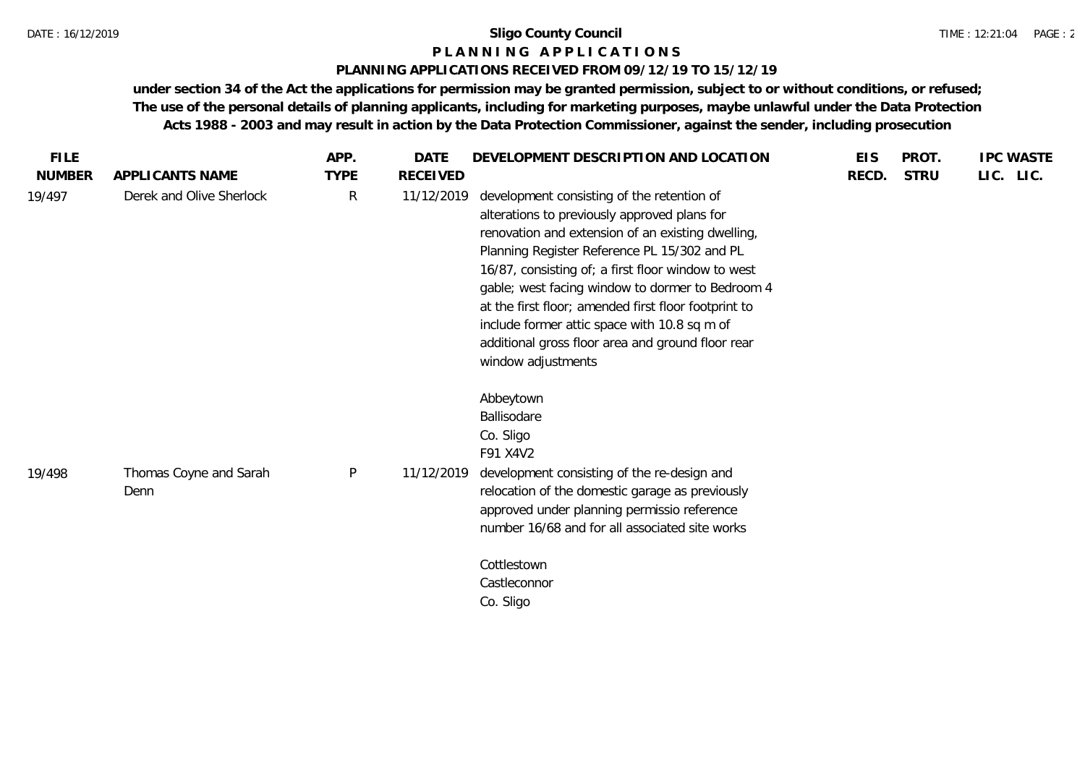### **P L A N N I N G A P P L I C A T I O N S**

### **PLANNING APPLICATIONS RECEIVED FROM 09/12/19 TO 15/12/19**

**under section 34 of the Act the applications for permission may be granted permission, subject to or without conditions, or refused; The use of the personal details of planning applicants, including for marketing purposes, maybe unlawful under the Data Protection Acts 1988 - 2003 and may result in action by the Data Protection Commissioner, against the sender, including prosecution**

| <b>FILE</b>   |                                | APP.         | DATE            | DEVELOPMENT DESCRIPTION AND LOCATION                                                                                                                                                                                                                                                                                                                                                                                                                                                         | <b>EIS</b> | PROT.       | <b>IPC WASTE</b> |
|---------------|--------------------------------|--------------|-----------------|----------------------------------------------------------------------------------------------------------------------------------------------------------------------------------------------------------------------------------------------------------------------------------------------------------------------------------------------------------------------------------------------------------------------------------------------------------------------------------------------|------------|-------------|------------------|
| <b>NUMBER</b> | APPLICANTS NAME                | <b>TYPE</b>  | <b>RECEIVED</b> |                                                                                                                                                                                                                                                                                                                                                                                                                                                                                              | RECD.      | <b>STRU</b> | LIC. LIC.        |
| 19/497        | Derek and Olive Sherlock       | R            | 11/12/2019      | development consisting of the retention of<br>alterations to previously approved plans for<br>renovation and extension of an existing dwelling,<br>Planning Register Reference PL 15/302 and PL<br>16/87, consisting of; a first floor window to west<br>gable; west facing window to dormer to Bedroom 4<br>at the first floor; amended first floor footprint to<br>include former attic space with 10.8 sq m of<br>additional gross floor area and ground floor rear<br>window adjustments |            |             |                  |
| 19/498        | Thomas Coyne and Sarah<br>Denn | $\mathsf{P}$ | 11/12/2019      | Abbeytown<br>Ballisodare<br>Co. Sligo<br>F91 X4V2<br>development consisting of the re-design and<br>relocation of the domestic garage as previously<br>approved under planning permissio reference<br>number 16/68 and for all associated site works                                                                                                                                                                                                                                         |            |             |                  |
|               |                                |              |                 | Cottlestown<br>Castleconnor<br>Co. Sligo                                                                                                                                                                                                                                                                                                                                                                                                                                                     |            |             |                  |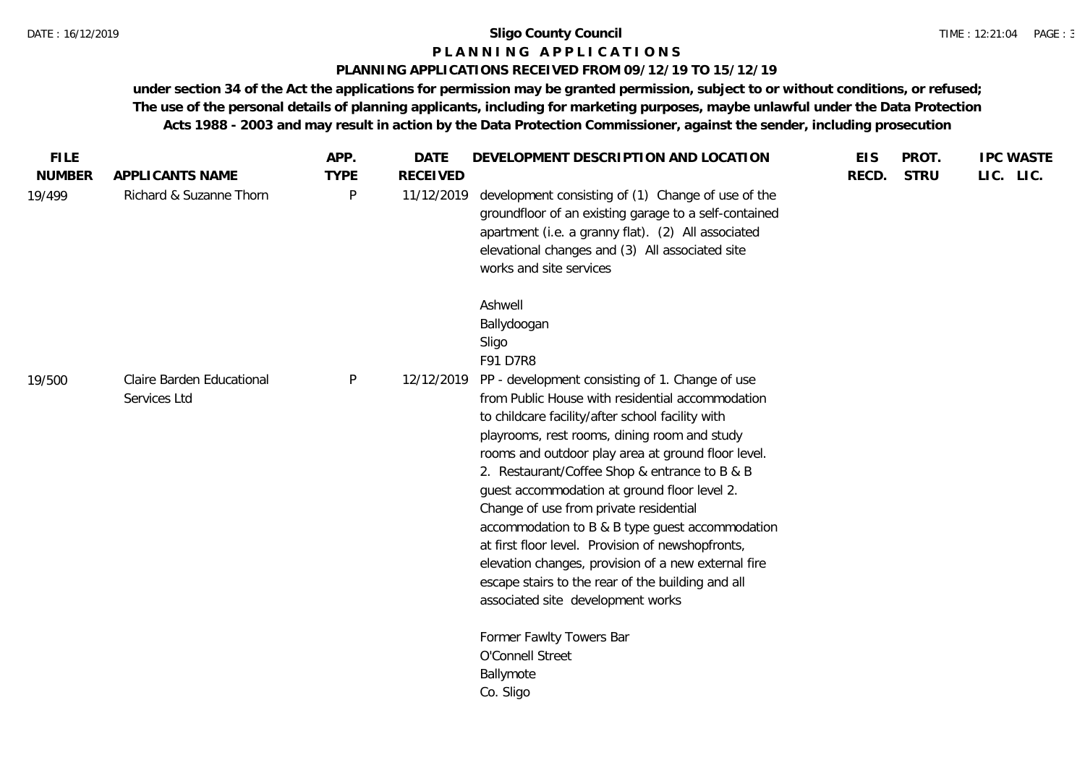#### **P L A N N I N G A P P L I C A T I O N S**

### **PLANNING APPLICATIONS RECEIVED FROM 09/12/19 TO 15/12/19**

**under section 34 of the Act the applications for permission may be granted permission, subject to or without conditions, or refused; The use of the personal details of planning applicants, including for marketing purposes, maybe unlawful under the Data Protection Acts 1988 - 2003 and may result in action by the Data Protection Commissioner, against the sender, including prosecution**

| LIC. LIC.<br><b>NUMBER</b><br><b>TYPE</b><br><b>RECEIVED</b><br><b>STRU</b><br>APPLICANTS NAME<br>RECD.<br>Richard & Suzanne Thorn<br>P<br>development consisting of (1) Change of use of the<br>19/499<br>11/12/2019<br>groundfloor of an existing garage to a self-contained<br>apartment (i.e. a granny flat). (2) All associated<br>elevational changes and (3) All associated site<br>works and site services<br>Ashwell<br>Ballydoogan<br>Sligo<br>F91 D7R8<br>P<br>Claire Barden Educational<br>PP - development consisting of 1. Change of use<br>12/12/2019<br>19/500<br>from Public House with residential accommodation<br>Services Ltd<br>to childcare facility/after school facility with<br>playrooms, rest rooms, dining room and study<br>rooms and outdoor play area at ground floor level.<br>2. Restaurant/Coffee Shop & entrance to B & B<br>guest accommodation at ground floor level 2.<br>Change of use from private residential<br>accommodation to B & B type guest accommodation<br>at first floor level. Provision of newshopfronts,<br>elevation changes, provision of a new external fire<br>escape stairs to the rear of the building and all<br>associated site development works<br>Former Fawlty Towers Bar<br>O'Connell Street<br>Ballymote<br>Co. Sligo | <b>FILE</b> | APP. | <b>DATE</b> | DEVELOPMENT DESCRIPTION AND LOCATION | <b>EIS</b> | PROT. | <b>IPC WASTE</b> |
|--------------------------------------------------------------------------------------------------------------------------------------------------------------------------------------------------------------------------------------------------------------------------------------------------------------------------------------------------------------------------------------------------------------------------------------------------------------------------------------------------------------------------------------------------------------------------------------------------------------------------------------------------------------------------------------------------------------------------------------------------------------------------------------------------------------------------------------------------------------------------------------------------------------------------------------------------------------------------------------------------------------------------------------------------------------------------------------------------------------------------------------------------------------------------------------------------------------------------------------------------------------------------------------------|-------------|------|-------------|--------------------------------------|------------|-------|------------------|
|                                                                                                                                                                                                                                                                                                                                                                                                                                                                                                                                                                                                                                                                                                                                                                                                                                                                                                                                                                                                                                                                                                                                                                                                                                                                                            |             |      |             |                                      |            |       |                  |
|                                                                                                                                                                                                                                                                                                                                                                                                                                                                                                                                                                                                                                                                                                                                                                                                                                                                                                                                                                                                                                                                                                                                                                                                                                                                                            |             |      |             |                                      |            |       |                  |
|                                                                                                                                                                                                                                                                                                                                                                                                                                                                                                                                                                                                                                                                                                                                                                                                                                                                                                                                                                                                                                                                                                                                                                                                                                                                                            |             |      |             |                                      |            |       |                  |
|                                                                                                                                                                                                                                                                                                                                                                                                                                                                                                                                                                                                                                                                                                                                                                                                                                                                                                                                                                                                                                                                                                                                                                                                                                                                                            |             |      |             |                                      |            |       |                  |
|                                                                                                                                                                                                                                                                                                                                                                                                                                                                                                                                                                                                                                                                                                                                                                                                                                                                                                                                                                                                                                                                                                                                                                                                                                                                                            |             |      |             |                                      |            |       |                  |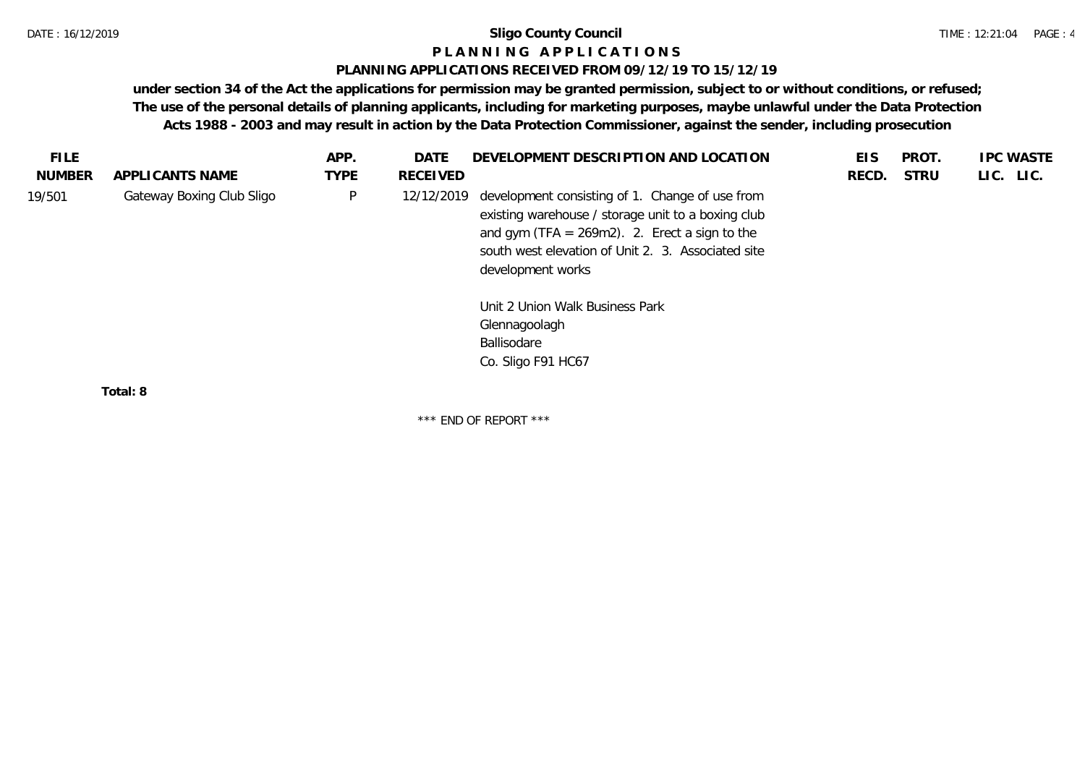### **P L A N N I N G A P P L I C A T I O N S**

### **PLANNING APPLICATIONS RECEIVED FROM 09/12/19 TO 15/12/19**

**under section 34 of the Act the applications for permission may be granted permission, subject to or without conditions, or refused; The use of the personal details of planning applicants, including for marketing purposes, maybe unlawful under the Data Protection Acts 1988 - 2003 and may result in action by the Data Protection Commissioner, against the sender, including prosecution**

|                           | APP.        | DATE     | DEVELOPMENT DESCRIPTION AND LOCATION                                                                                                                                                                                                                                                                    | EIS                              | PROT.       | <b>IPC WASTE</b> |
|---------------------------|-------------|----------|---------------------------------------------------------------------------------------------------------------------------------------------------------------------------------------------------------------------------------------------------------------------------------------------------------|----------------------------------|-------------|------------------|
| APPLICANTS NAME           | <b>TYPE</b> | RECEIVED |                                                                                                                                                                                                                                                                                                         | RECD.                            | <b>STRU</b> | LIC. LIC.        |
| Gateway Boxing Club Sligo | P           |          | development consisting of 1. Change of use from<br>existing warehouse / storage unit to a boxing club<br>and gym (TFA = $269m2$ ). 2. Erect a sign to the<br>south west elevation of Unit 2. 3. Associated site<br>development works<br>Unit 2 Union Walk Business Park<br>Glennagoolagh<br>Ballisodare |                                  |             |                  |
|                           |             |          |                                                                                                                                                                                                                                                                                                         |                                  |             |                  |
|                           |             |          |                                                                                                                                                                                                                                                                                                         | 12/12/2019<br>Co. Sligo F91 HC67 |             |                  |

**Total: 8**

\*\*\* END OF REPORT \*\*\*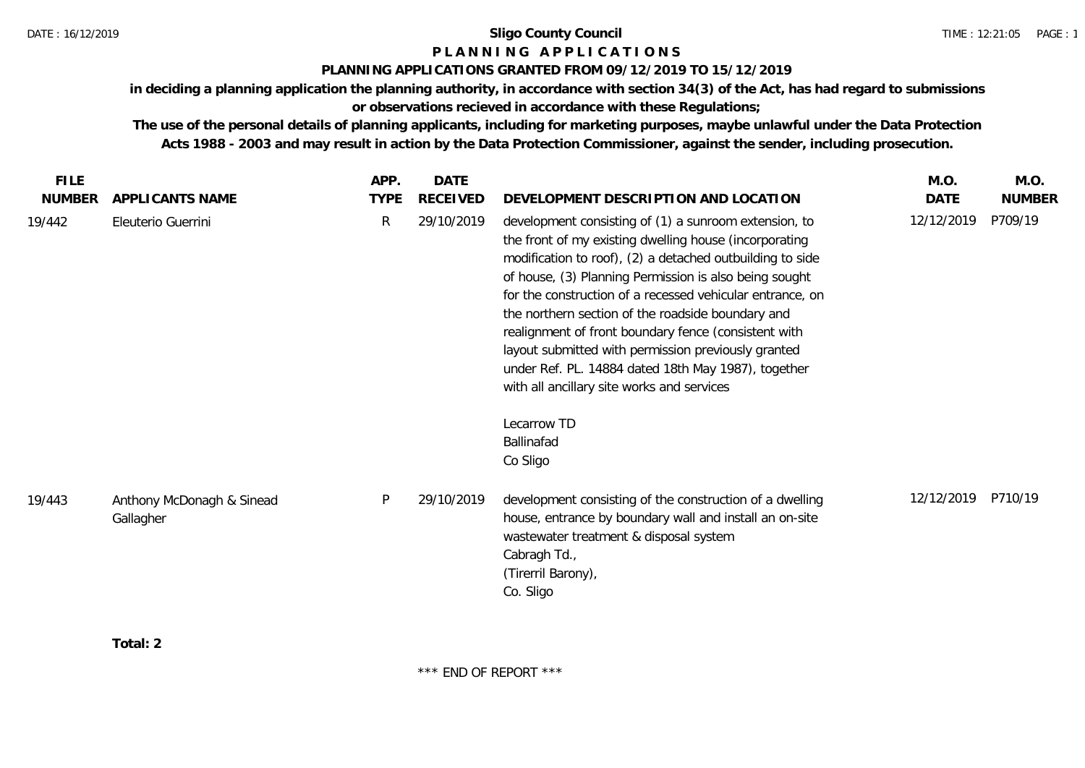### **P L A N N I N G A P P L I C A T I O N S**

### **PLANNING APPLICATIONS GRANTED FROM 09/12/2019 TO 15/12/2019**

**in deciding a planning application the planning authority, in accordance with section 34(3) of the Act, has had regard to submissions or observations recieved in accordance with these Regulations;**

**The use of the personal details of planning applicants, including for marketing purposes, maybe unlawful under the Data Protection Acts 1988 - 2003 and may result in action by the Data Protection Commissioner, against the sender, including prosecution.**

**Total: 2**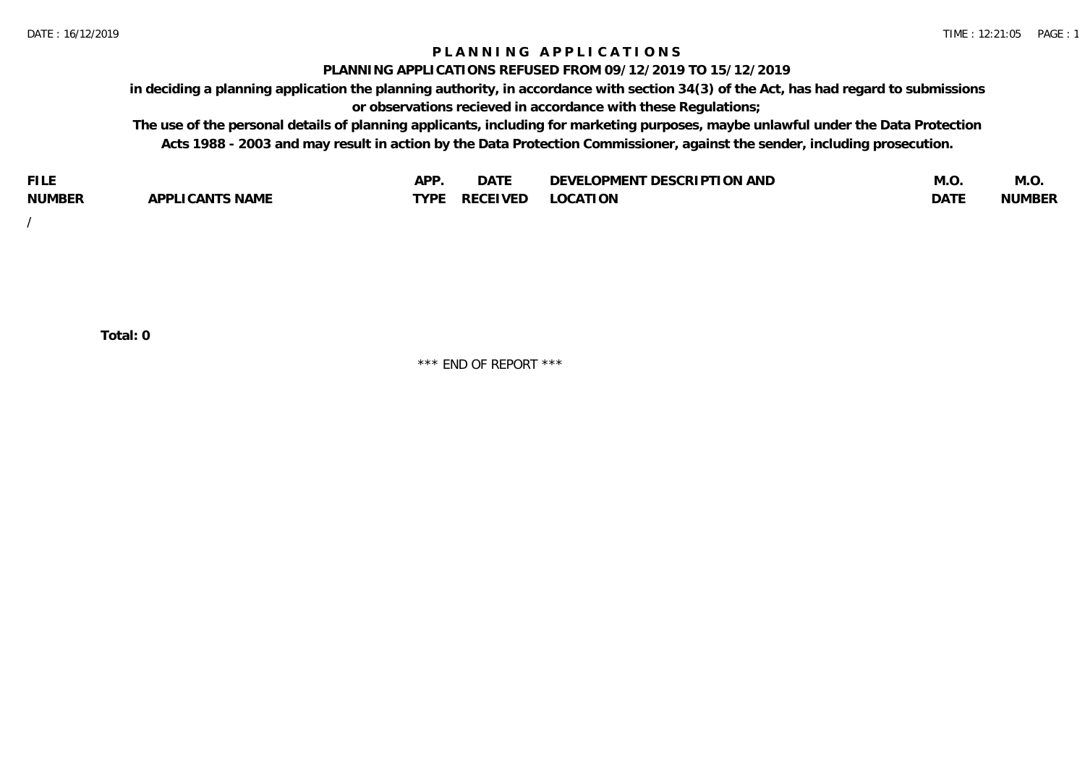### **P L A N N I N G A P P L I C A T I O N S**

#### **PLANNING APPLICATIONS REFUSED FROM 09/12/2019 TO 15/12/2019**

**in deciding a planning application the planning authority, in accordance with section 34(3) of the Act, has had regard to submissions or observations recieved in accordance with these Regulations;**

**The use of the personal details of planning applicants, including for marketing purposes, maybe unlawful under the Data Protection Acts 1988 - 2003 and may result in action by the Data Protection Commissioner, against the sender, including prosecution.**

| <b>FILE</b>   |                            | <b>ADD</b><br>¬ เ⊥ | $\Gamma$ $\Lambda$ $\Gamma$<br>DAI | OPMENT DESCRIPTION AND<br>$\sim$ $\sim$<br>)FVF' | IVI.U            | M.O           |
|---------------|----------------------------|--------------------|------------------------------------|--------------------------------------------------|------------------|---------------|
| <b>NUMBER</b> | <b>ICANTS NAME</b><br>APP' | <b>TYPF</b>        | <b>RECEIVED</b>                    | <b>LOCATION</b>                                  | DAT <sup>'</sup> | <b>NUMBEF</b> |

/

**Total: 0**

\*\*\* END OF REPORT \*\*\*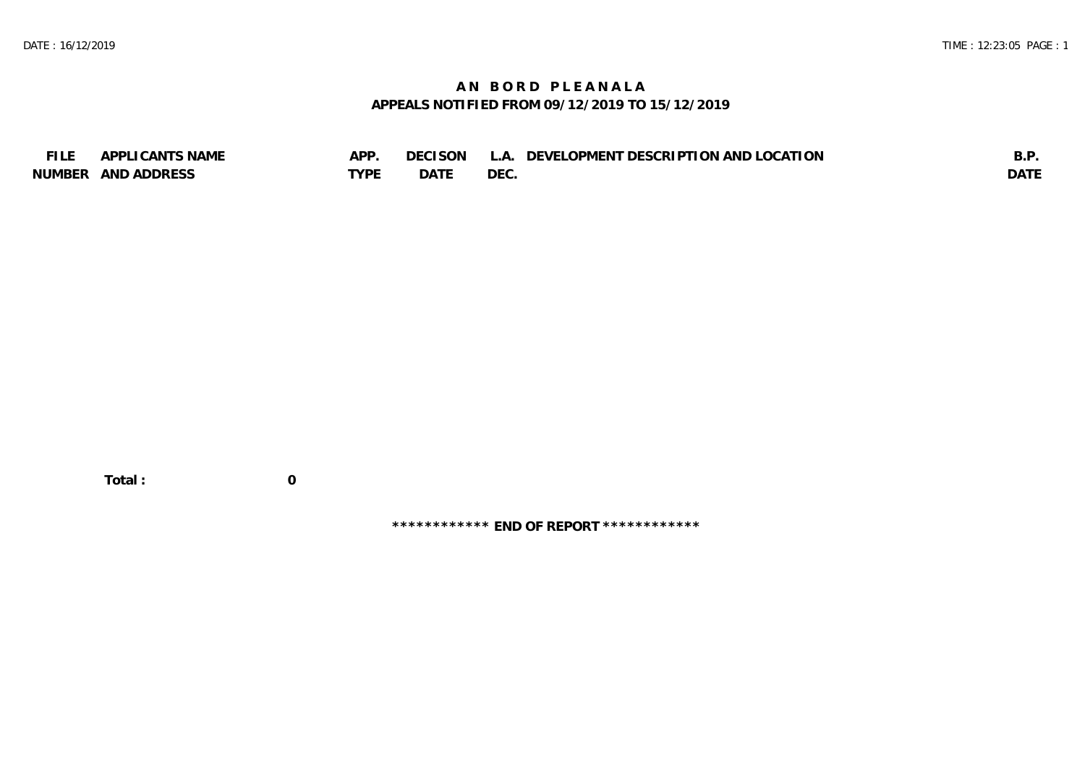# **A N B O R D P L E A N A L A APPEALS NOTIFIED FROM 09/12/2019 TO 15/12/2019**

| <b>FILE</b> | APPLICANTS NAME    | APP  | DECISON L   | L.A. DEVELOPMENT DESCRIPTION AND LOCATION | B.F         |
|-------------|--------------------|------|-------------|-------------------------------------------|-------------|
|             | NUMBER AND ADDRESS | TYPE | <b>DATE</b> | <b>DEC</b>                                | <b>DATE</b> |

 **Total : 0**

**\*\*\*\*\*\*\*\*\*\*\*\* END OF REPORT \*\*\*\*\*\*\*\*\*\*\*\***